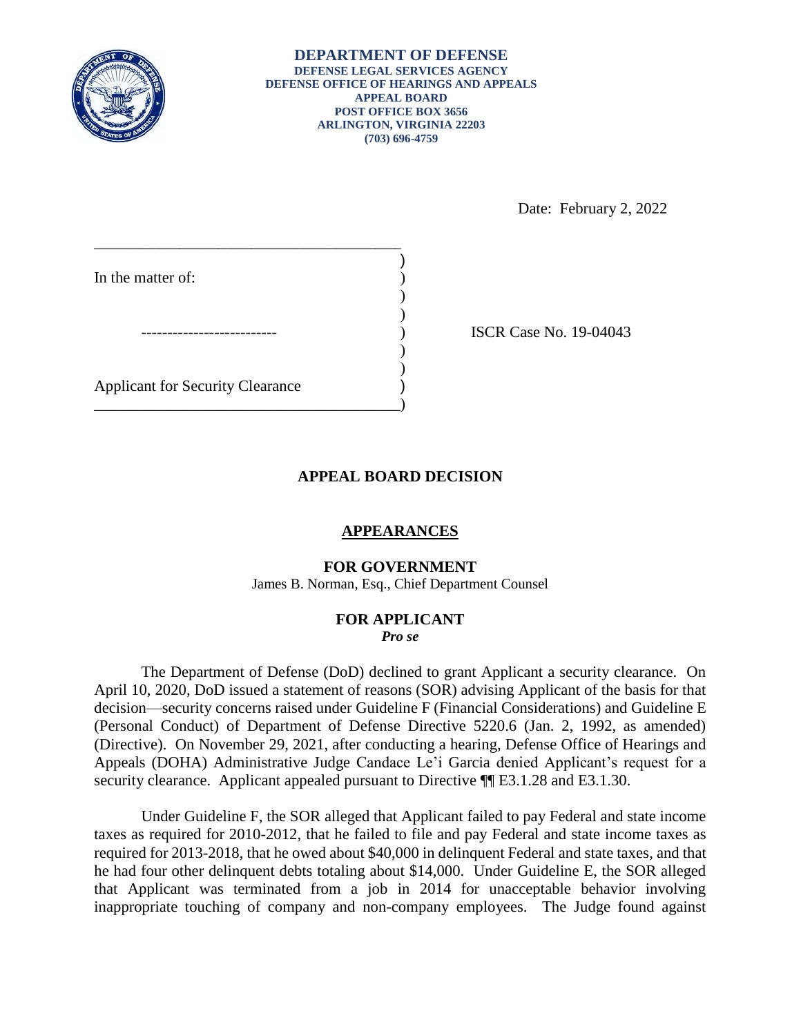

)

) ) Date: February 2, 2022

\_\_\_\_\_\_\_\_\_\_\_\_\_\_\_\_\_\_\_\_\_\_\_\_\_\_\_\_\_\_\_\_\_\_\_\_\_\_\_\_\_\_\_\_\_\_\_ In the matter of: -------------------------- ) ISCR Case No. 19-04043  $)$  $)$ Applicant for Security Clearance ) \_\_\_\_\_\_\_\_\_\_\_\_\_\_\_\_\_\_\_\_\_\_\_\_\_\_\_\_\_\_\_\_\_\_\_\_\_\_\_)

# **APPEAL BOARD DECISION**

### **APPEARANCES**

### **FOR GOVERNMENT**

James B. Norman, Esq., Chief Department Counsel

#### **FOR APPLICANT**  *Pro se*

 The Department of Defense (DoD) declined to grant Applicant a security clearance. On April 10, 2020, DoD issued a statement of reasons (SOR) advising Applicant of the basis for that decision—security concerns raised under Guideline F (Financial Considerations) and Guideline E (Personal Conduct) of Department of Defense Directive 5220.6 (Jan. 2, 1992, as amended) (Directive). On November 29, 2021, after conducting a hearing, Defense Office of Hearings and Appeals (DOHA) Administrative Judge Candace Le'i Garcia denied Applicant's request for a security clearance. Applicant appealed pursuant to Directive  $\P$  E3.1.28 and E3.1.30.

 taxes as required for 2010-2012, that he failed to file and pay Federal and state income taxes as required for 2013-2018, that he owed about \$40,000 in delinquent Federal and state taxes, and that he had four other delinquent debts totaling about \$14,000. Under Guideline E, the SOR alleged that Applicant was terminated from a job in 2014 for unacceptable behavior involving inappropriate touching of company and non-company employees. The Judge found against Under Guideline F, the SOR alleged that Applicant failed to pay Federal and state income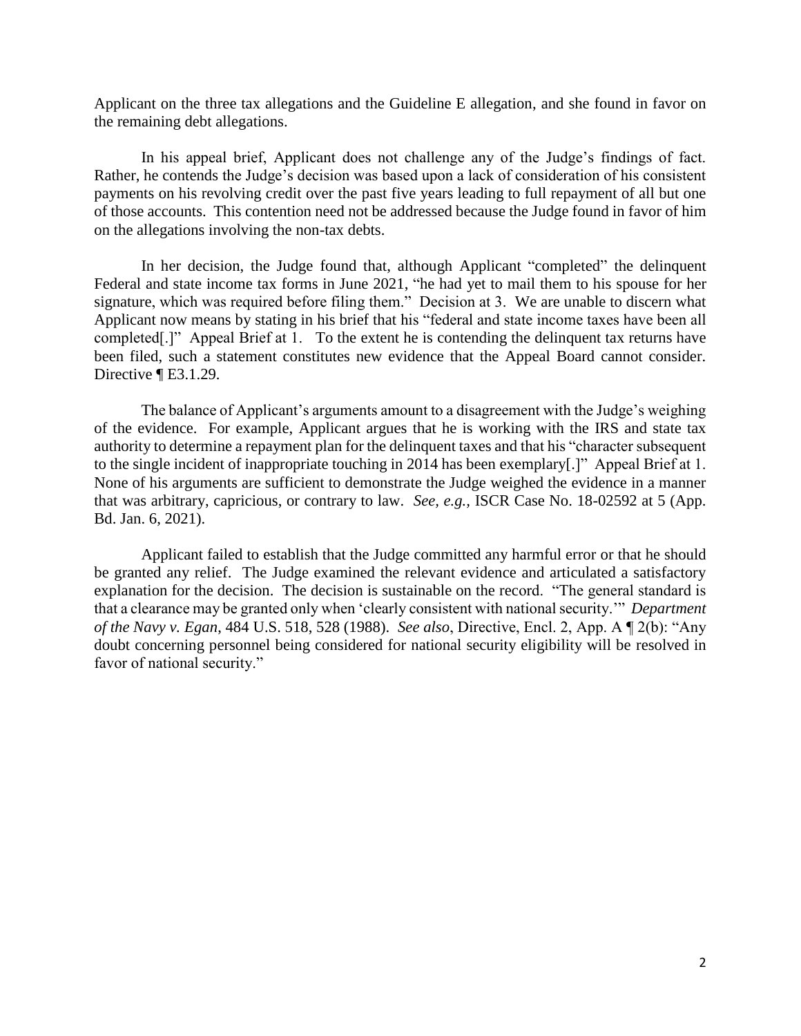Applicant on the three tax allegations and the Guideline E allegation, and she found in favor on the remaining debt allegations.

 In his appeal brief, Applicant does not challenge any of the Judge's findings of fact. payments on his revolving credit over the past five years leading to full repayment of all but one of those accounts. This contention need not be addressed because the Judge found in favor of him Rather, he contends the Judge's decision was based upon a lack of consideration of his consistent on the allegations involving the non-tax debts.

 Federal and state income tax forms in June 2021, "he had yet to mail them to his spouse for her signature, which was required before filing them." Decision at 3. We are unable to discern what Applicant now means by stating in his brief that his "federal and state income taxes have been all completed[.]" Appeal Brief at 1. To the extent he is contending the delinquent tax returns have In her decision, the Judge found that, although Applicant "completed" the delinquent been filed, such a statement constitutes new evidence that the Appeal Board cannot consider. Directive ¶ E3.1.29.

 The balance of Applicant's arguments amount to a disagreement with the Judge's weighing of the evidence. For example, Applicant argues that he is working with the IRS and state tax authority to determine a repayment plan for the delinquent taxes and that his "character subsequent to the single incident of inappropriate touching in 2014 has been exemplary[.]" Appeal Brief at 1. None of his arguments are sufficient to demonstrate the Judge weighed the evidence in a manner that was arbitrary, capricious, or contrary to law. *See, e.g.,* ISCR Case No. 18-02592 at 5 (App. Bd. Jan. 6, 2021).

 be granted any relief. The Judge examined the relevant evidence and articulated a satisfactory explanation for the decision. The decision is sustainable on the record. "The general standard is that a clearance may be granted only when 'clearly consistent with national security.'" *Department*  doubt concerning personnel being considered for national security eligibility will be resolved in Applicant failed to establish that the Judge committed any harmful error or that he should *of the Navy v. Egan*, 484 U.S. 518, 528 (1988). *See also*, Directive, Encl. 2, App. A ¶ 2(b): "Any favor of national security."